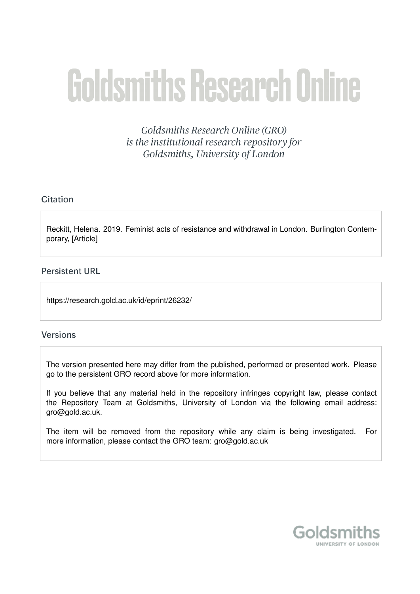# **Goldsmiths Research Online**

Goldsmiths Research Online (GRO) is the institutional research repository for Goldsmiths, University of London

### Citation

Reckitt, Helena. 2019. Feminist acts of resistance and withdrawal in London. Burlington Contemporary, [Article]

#### **Persistent URL**

https://research.gold.ac.uk/id/eprint/26232/

#### **Versions**

The version presented here may differ from the published, performed or presented work. Please go to the persistent GRO record above for more information.

If you believe that any material held in the repository infringes copyright law, please contact the Repository Team at Goldsmiths, University of London via the following email address: gro@gold.ac.uk.

The item will be removed from the repository while any claim is being investigated. For more information, please contact the GRO team: gro@gold.ac.uk

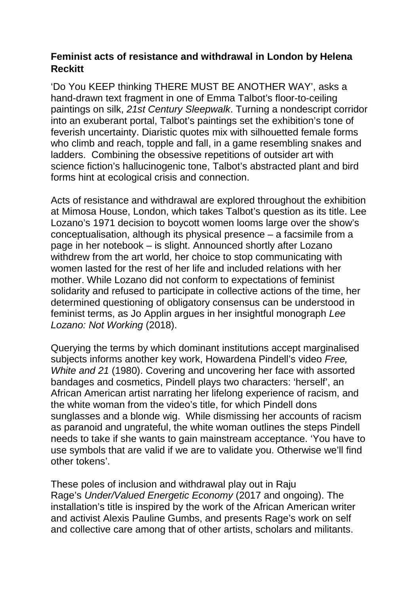## **Feminist acts of resistance and withdrawal in London by Helena Reckitt**

'Do You KEEP thinking THERE MUST BE ANOTHER WAY', asks a hand-drawn text fragment in one of Emma Talbot's floor-to-ceiling paintings on silk, *21st Century Sleepwalk*. Turning a nondescript corridor into an exuberant portal, Talbot's paintings set the exhibition's tone of feverish uncertainty. Diaristic quotes mix with silhouetted female forms who climb and reach, topple and fall, in a game resembling snakes and ladders. Combining the obsessive repetitions of outsider art with science fiction's hallucinogenic tone, Talbot's abstracted plant and bird forms hint at ecological crisis and connection.

Acts of resistance and withdrawal are explored throughout the exhibition at Mimosa House, London, which takes Talbot's question as its title. Lee Lozano's 1971 decision to boycott women looms large over the show's conceptualisation, although its physical presence – a facsimile from a page in her notebook – is slight. Announced shortly after Lozano withdrew from the art world, her choice to stop communicating with women lasted for the rest of her life and included relations with her mother. While Lozano did not conform to expectations of feminist solidarity and refused to participate in collective actions of the time, her determined questioning of obligatory consensus can be understood in feminist terms, as Jo Applin argues in her insightful monograph *Lee Lozano: Not Working* (2018).

Querying the terms by which dominant institutions accept marginalised subjects informs another key work, Howardena Pindell's video *Free, White and 21* (1980). Covering and uncovering her face with assorted bandages and cosmetics, Pindell plays two characters: 'herself', an African American artist narrating her lifelong experience of racism, and the white woman from the video's title, for which Pindell dons sunglasses and a blonde wig. While dismissing her accounts of racism as paranoid and ungrateful, the white woman outlines the steps Pindell needs to take if she wants to gain mainstream acceptance. 'You have to use symbols that are valid if we are to validate you. Otherwise we'll find other tokens'.

These poles of inclusion and withdrawal play out in Raju Rage's *Under/Valued Energetic Economy* (2017 and ongoing). The installation's title is inspired by the work of the African American writer and activist Alexis Pauline Gumbs, and presents Rage's work on self and collective care among that of other artists, scholars and militants.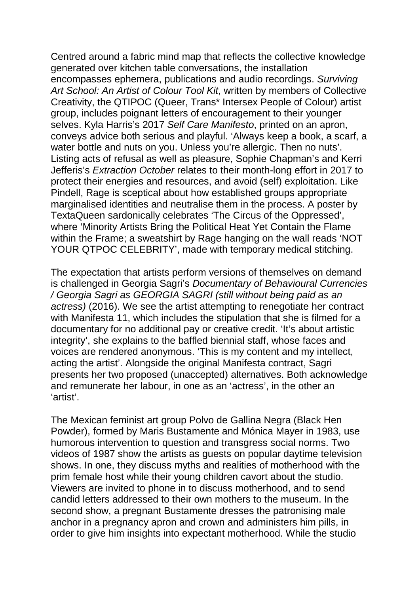Centred around a fabric mind map that reflects the collective knowledge generated over kitchen table conversations, the installation encompasses ephemera, publications and audio recordings. *Surviving Art School: An Artist of Colour Tool Kit*, written by members of Collective Creativity, the QTIPOC (Queer, Trans\* Intersex People of Colour) artist group, includes poignant letters of encouragement to their younger selves. Kyla Harris's 2017 *Self Care Manifesto*, printed on an apron, conveys advice both serious and playful. 'Always keep a book, a scarf, a water bottle and nuts on you. Unless you're allergic. Then no nuts'. Listing acts of refusal as well as pleasure, Sophie Chapman's and Kerri Jefferis's *Extraction October* relates to their month-long effort in 2017 to protect their energies and resources, and avoid (self) exploitation. Like Pindell, Rage is sceptical about how established groups appropriate marginalised identities and neutralise them in the process. A poster by TextaQueen sardonically celebrates 'The Circus of the Oppressed', where 'Minority Artists Bring the Political Heat Yet Contain the Flame within the Frame; a sweatshirt by Rage hanging on the wall reads 'NOT YOUR QTPOC CELEBRITY', made with temporary medical stitching.

The expectation that artists perform versions of themselves on demand is challenged in Georgia Sagri's *Documentary of Behavioural Currencies / Georgia Sagri as GEORGIA SAGRI (still without being paid as an actress)* (2016). We see the artist attempting to renegotiate her contract with Manifesta 11, which includes the stipulation that she is filmed for a documentary for no additional pay or creative credit. 'It's about artistic integrity', she explains to the baffled biennial staff, whose faces and voices are rendered anonymous. 'This is my content and my intellect, acting the artist'. Alongside the original Manifesta contract, Sagri presents her two proposed (unaccepted) alternatives. Both acknowledge and remunerate her labour, in one as an 'actress', in the other an 'artist'.

The Mexican feminist art group Polvo de Gallina Negra (Black Hen Powder), formed by Maris Bustamente and Mónica Mayer in 1983, use humorous intervention to question and transgress social norms. Two videos of 1987 show the artists as guests on popular daytime television shows. In one, they discuss myths and realities of motherhood with the prim female host while their young children cavort about the studio. Viewers are invited to phone in to discuss motherhood, and to send candid letters addressed to their own mothers to the museum. In the second show, a pregnant Bustamente dresses the patronising male anchor in a pregnancy apron and crown and administers him pills, in order to give him insights into expectant motherhood. While the studio